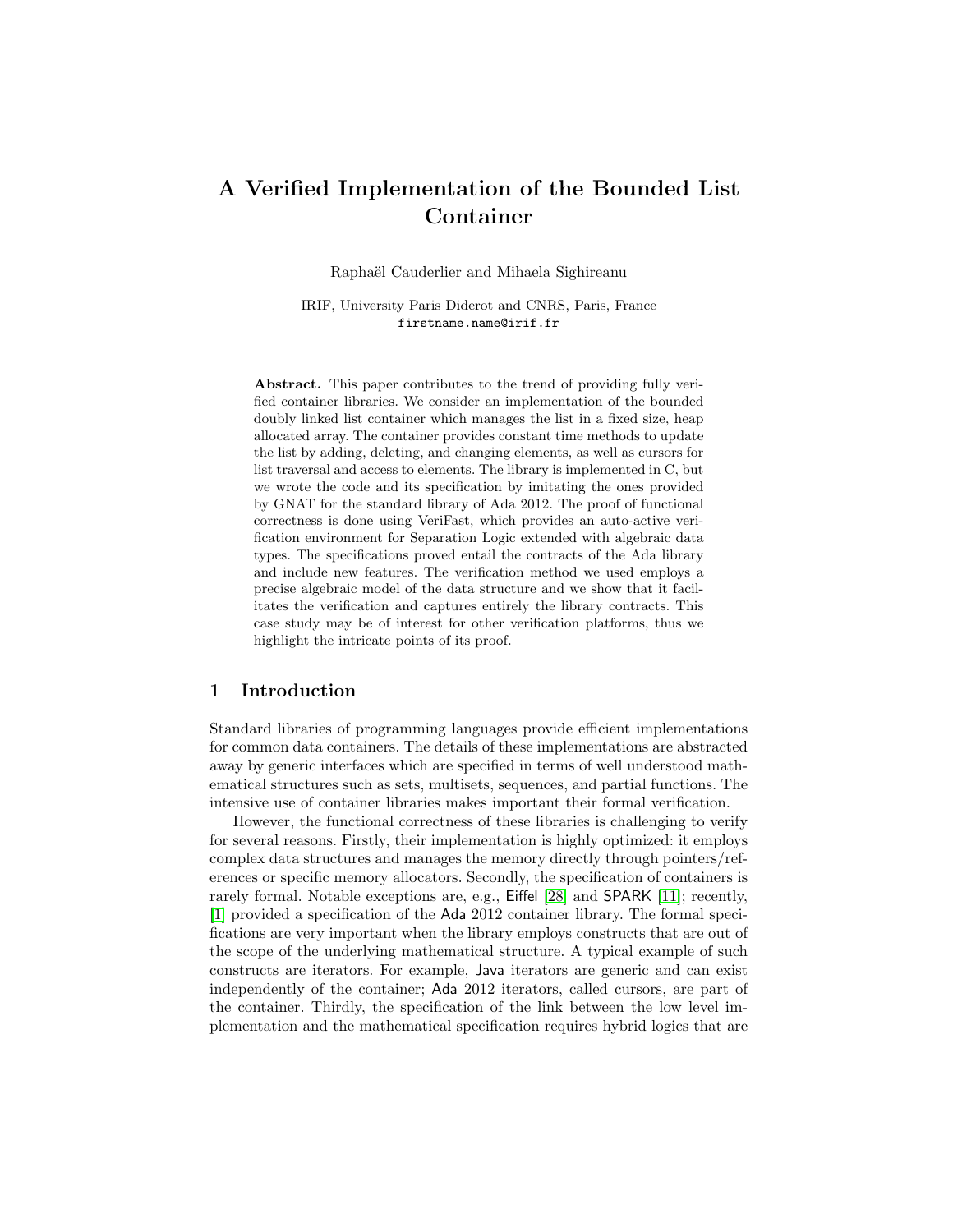# A Verified Implementation of the Bounded List Container

Raphaël Cauderlier and Mihaela Sighireanu

IRIF, University Paris Diderot and CNRS, Paris, France firstname.name@irif.fr

Abstract. This paper contributes to the trend of providing fully verified container libraries. We consider an implementation of the bounded doubly linked list container which manages the list in a fixed size, heap allocated array. The container provides constant time methods to update the list by adding, deleting, and changing elements, as well as cursors for list traversal and access to elements. The library is implemented in C, but we wrote the code and its specification by imitating the ones provided by GNAT for the standard library of Ada 2012. The proof of functional correctness is done using VeriFast, which provides an auto-active verification environment for Separation Logic extended with algebraic data types. The specifications proved entail the contracts of the Ada library and include new features. The verification method we used employs a precise algebraic model of the data structure and we show that it facilitates the verification and captures entirely the library contracts. This case study may be of interest for other verification platforms, thus we highlight the intricate points of its proof.

## 1 Introduction

Standard libraries of programming languages provide efficient implementations for common data containers. The details of these implementations are abstracted away by generic interfaces which are specified in terms of well understood mathematical structures such as sets, multisets, sequences, and partial functions. The intensive use of container libraries makes important their formal verification.

However, the functional correctness of these libraries is challenging to verify for several reasons. Firstly, their implementation is highly optimized: it employs complex data structures and manages the memory directly through pointers/references or specific memory allocators. Secondly, the specification of containers is rarely formal. Notable exceptions are, e.g., Eiffel [\[28\]](#page-16-0) and SPARK [\[11\]](#page-15-0); recently, [\[1\]](#page-14-0) provided a specification of the Ada 2012 container library. The formal specifications are very important when the library employs constructs that are out of the scope of the underlying mathematical structure. A typical example of such constructs are iterators. For example, Java iterators are generic and can exist independently of the container; Ada 2012 iterators, called cursors, are part of the container. Thirdly, the specification of the link between the low level implementation and the mathematical specification requires hybrid logics that are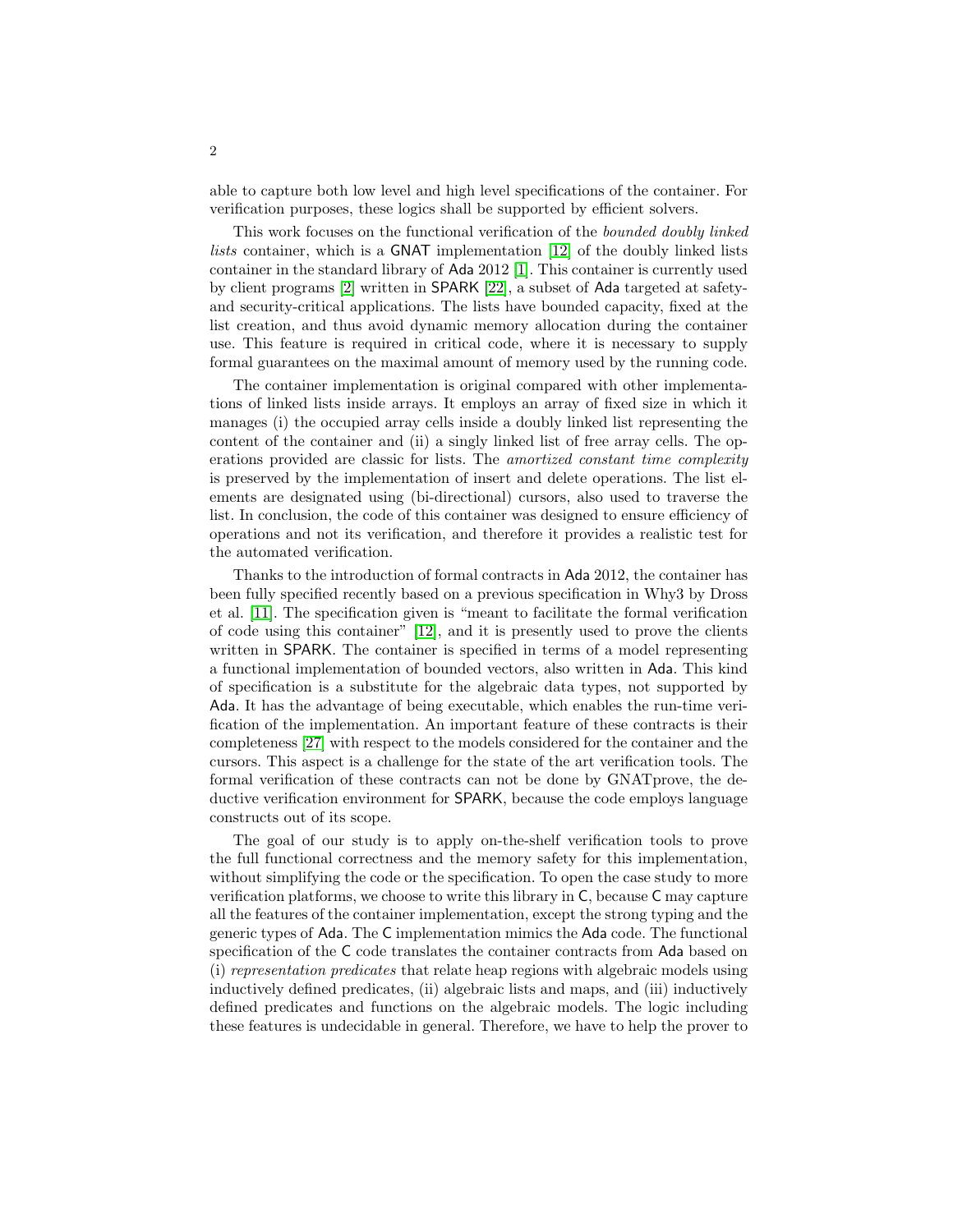able to capture both low level and high level specifications of the container. For verification purposes, these logics shall be supported by efficient solvers.

This work focuses on the functional verification of the bounded doubly linked lists container, which is a GNAT implementation [\[12\]](#page-15-1) of the doubly linked lists container in the standard library of Ada 2012 [\[1\]](#page-14-0). This container is currently used by client programs [\[2\]](#page-14-1) written in SPARK [\[22\]](#page-15-2), a subset of Ada targeted at safetyand security-critical applications. The lists have bounded capacity, fixed at the list creation, and thus avoid dynamic memory allocation during the container use. This feature is required in critical code, where it is necessary to supply formal guarantees on the maximal amount of memory used by the running code.

The container implementation is original compared with other implementations of linked lists inside arrays. It employs an array of fixed size in which it manages (i) the occupied array cells inside a doubly linked list representing the content of the container and (ii) a singly linked list of free array cells. The operations provided are classic for lists. The amortized constant time complexity is preserved by the implementation of insert and delete operations. The list elements are designated using (bi-directional) cursors, also used to traverse the list. In conclusion, the code of this container was designed to ensure efficiency of operations and not its verification, and therefore it provides a realistic test for the automated verification.

Thanks to the introduction of formal contracts in Ada 2012, the container has been fully specified recently based on a previous specification in Why3 by Dross et al. [\[11\]](#page-15-0). The specification given is "meant to facilitate the formal verification of code using this container" [\[12\]](#page-15-1), and it is presently used to prove the clients written in SPARK. The container is specified in terms of a model representing a functional implementation of bounded vectors, also written in Ada. This kind of specification is a substitute for the algebraic data types, not supported by Ada. It has the advantage of being executable, which enables the run-time verification of the implementation. An important feature of these contracts is their completeness [\[27\]](#page-16-1) with respect to the models considered for the container and the cursors. This aspect is a challenge for the state of the art verification tools. The formal verification of these contracts can not be done by GNATprove, the deductive verification environment for SPARK, because the code employs language constructs out of its scope.

The goal of our study is to apply on-the-shelf verification tools to prove the full functional correctness and the memory safety for this implementation, without simplifying the code or the specification. To open the case study to more verification platforms, we choose to write this library in C, because C may capture all the features of the container implementation, except the strong typing and the generic types of Ada. The C implementation mimics the Ada code. The functional specification of the C code translates the container contracts from Ada based on (i) representation predicates that relate heap regions with algebraic models using inductively defined predicates, (ii) algebraic lists and maps, and (iii) inductively defined predicates and functions on the algebraic models. The logic including these features is undecidable in general. Therefore, we have to help the prover to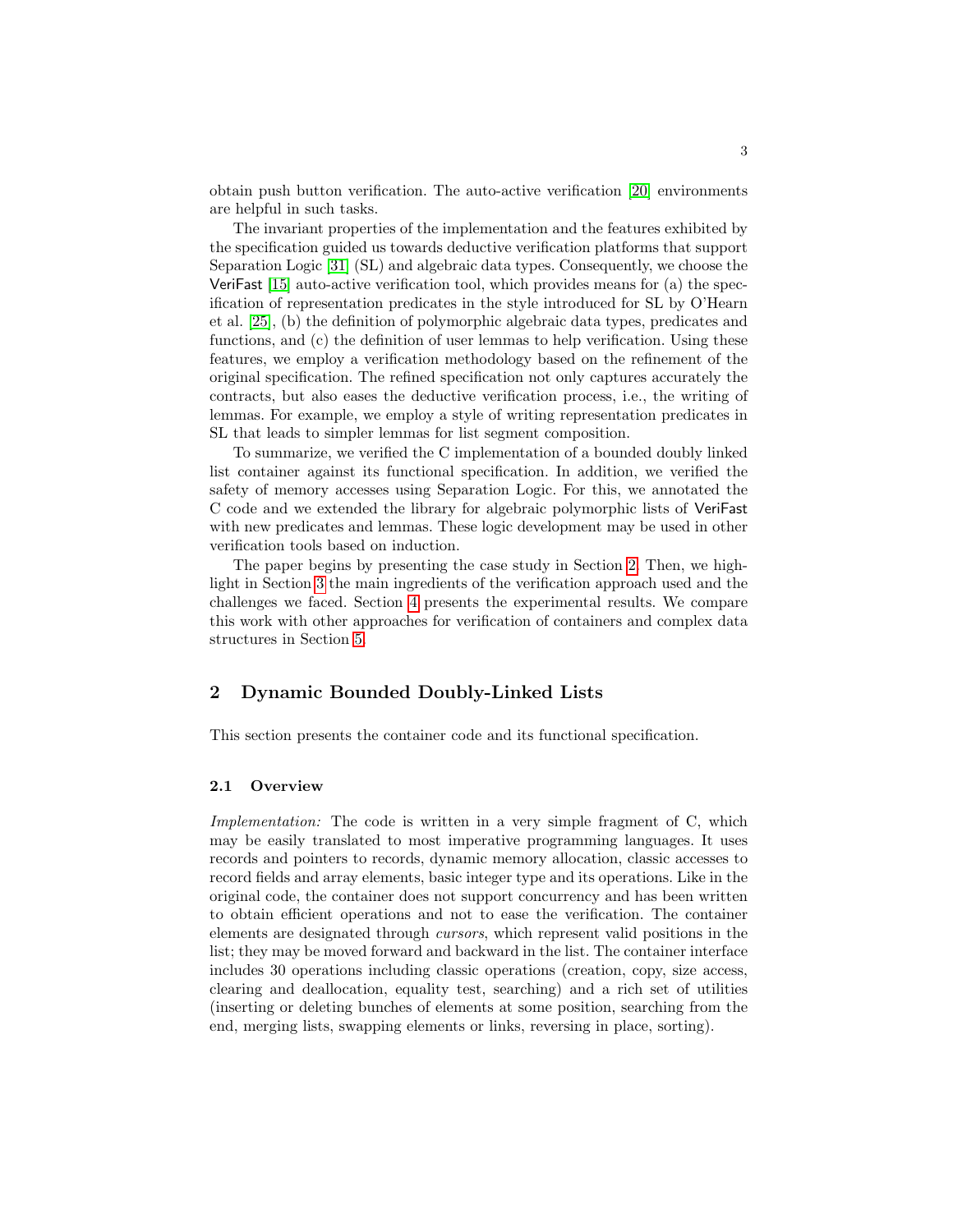obtain push button verification. The auto-active verification [\[20\]](#page-15-3) environments are helpful in such tasks.

The invariant properties of the implementation and the features exhibited by the specification guided us towards deductive verification platforms that support Separation Logic [\[31\]](#page-16-2) (SL) and algebraic data types. Consequently, we choose the VeriFast [\[15\]](#page-15-4) auto-active verification tool, which provides means for (a) the specification of representation predicates in the style introduced for SL by O'Hearn et al. [\[25\]](#page-16-3), (b) the definition of polymorphic algebraic data types, predicates and functions, and (c) the definition of user lemmas to help verification. Using these features, we employ a verification methodology based on the refinement of the original specification. The refined specification not only captures accurately the contracts, but also eases the deductive verification process, i.e., the writing of lemmas. For example, we employ a style of writing representation predicates in SL that leads to simpler lemmas for list segment composition.

To summarize, we verified the C implementation of a bounded doubly linked list container against its functional specification. In addition, we verified the safety of memory accesses using Separation Logic. For this, we annotated the C code and we extended the library for algebraic polymorphic lists of VeriFast with new predicates and lemmas. These logic development may be used in other verification tools based on induction.

The paper begins by presenting the case study in Section [2.](#page-2-0) Then, we highlight in Section [3](#page-9-0) the main ingredients of the verification approach used and the challenges we faced. Section [4](#page-12-0) presents the experimental results. We compare this work with other approaches for verification of containers and complex data structures in Section [5.](#page-13-0)

# <span id="page-2-0"></span>2 Dynamic Bounded Doubly-Linked Lists

This section presents the container code and its functional specification.

## 2.1 Overview

Implementation: The code is written in a very simple fragment of C, which may be easily translated to most imperative programming languages. It uses records and pointers to records, dynamic memory allocation, classic accesses to record fields and array elements, basic integer type and its operations. Like in the original code, the container does not support concurrency and has been written to obtain efficient operations and not to ease the verification. The container elements are designated through cursors, which represent valid positions in the list; they may be moved forward and backward in the list. The container interface includes 30 operations including classic operations (creation, copy, size access, clearing and deallocation, equality test, searching) and a rich set of utilities (inserting or deleting bunches of elements at some position, searching from the end, merging lists, swapping elements or links, reversing in place, sorting).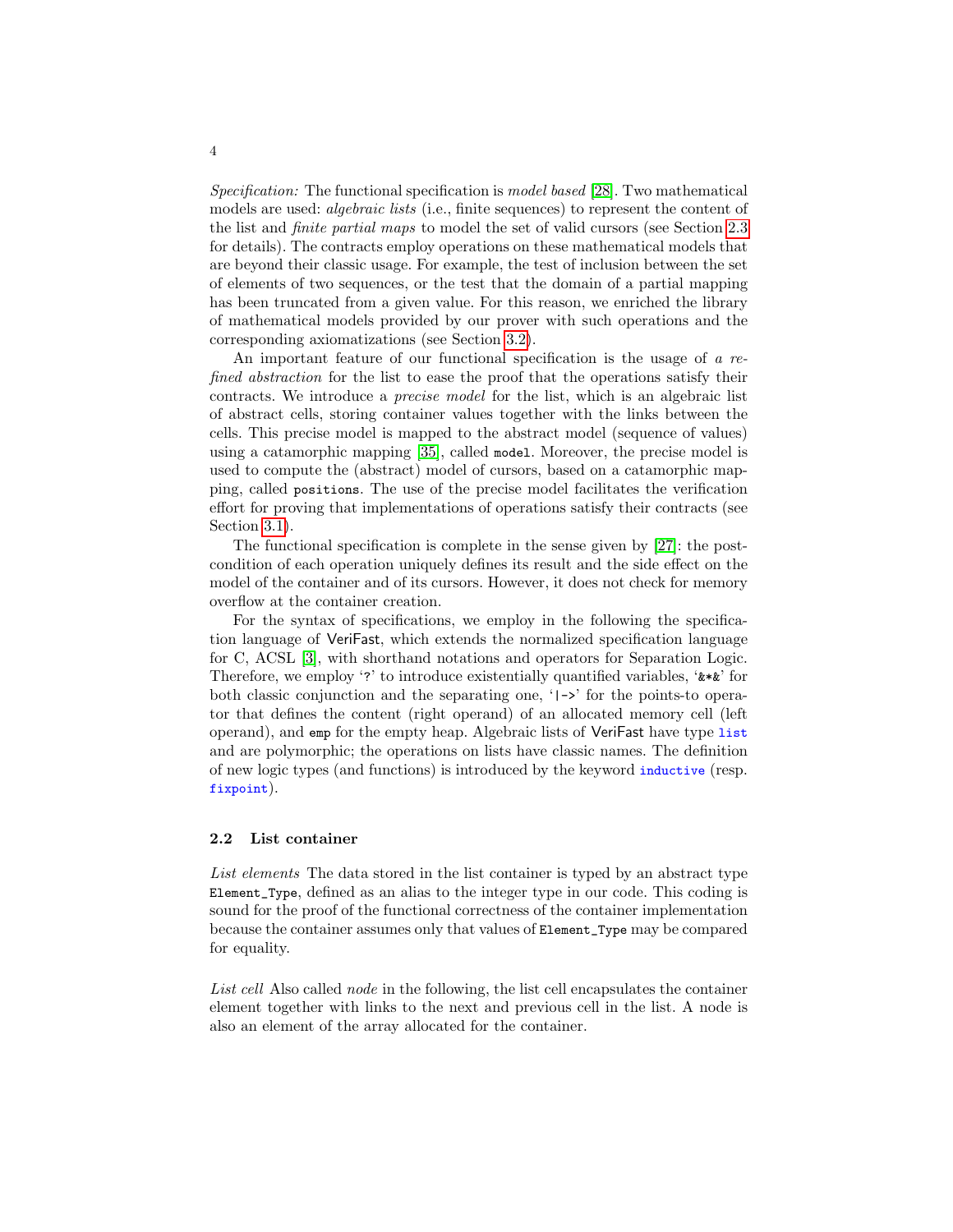Specification: The functional specification is model based [\[28\]](#page-16-0). Two mathematical models are used: *algebraic lists* (i.e., finite sequences) to represent the content of the list and finite partial maps to model the set of valid cursors (see Section [2.3](#page-7-0) for details). The contracts employ operations on these mathematical models that are beyond their classic usage. For example, the test of inclusion between the set of elements of two sequences, or the test that the domain of a partial mapping has been truncated from a given value. For this reason, we enriched the library of mathematical models provided by our prover with such operations and the corresponding axiomatizations (see Section [3.2\)](#page-10-0).

An important feature of our functional specification is the usage of a refined abstraction for the list to ease the proof that the operations satisfy their contracts. We introduce a precise model for the list, which is an algebraic list of abstract cells, storing container values together with the links between the cells. This precise model is mapped to the abstract model (sequence of values) using a catamorphic mapping [\[35\]](#page-16-4), called model. Moreover, the precise model is used to compute the (abstract) model of cursors, based on a catamorphic mapping, called positions. The use of the precise model facilitates the verification effort for proving that implementations of operations satisfy their contracts (see Section [3.1\)](#page-9-1).

The functional specification is complete in the sense given by [\[27\]](#page-16-1): the postcondition of each operation uniquely defines its result and the side effect on the model of the container and of its cursors. However, it does not check for memory overflow at the container creation.

For the syntax of specifications, we employ in the following the specification language of VeriFast, which extends the normalized specification language for C, ACSL [\[3\]](#page-14-2), with shorthand notations and operators for Separation Logic. Therefore, we employ '?' to introduce existentially quantified variables, '&\*&' for both classic conjunction and the separating one, ' $\rightarrow$ ' for the points-to operator that defines the content (right operand) of an allocated memory cell (left operand), and emp for the empty heap. Algebraic lists of VeriFast have type list and are polymorphic; the operations on lists have classic names. The definition of new logic types (and functions) is introduced by the keyword inductive (resp. fixpoint).

#### <span id="page-3-0"></span>2.2 List container

List elements The data stored in the list container is typed by an abstract type Element\_Type, defined as an alias to the integer type in our code. This coding is sound for the proof of the functional correctness of the container implementation because the container assumes only that values of Element\_Type may be compared for equality.

List cell Also called *node* in the following, the list cell encapsulates the container element together with links to the next and previous cell in the list. A node is also an element of the array allocated for the container.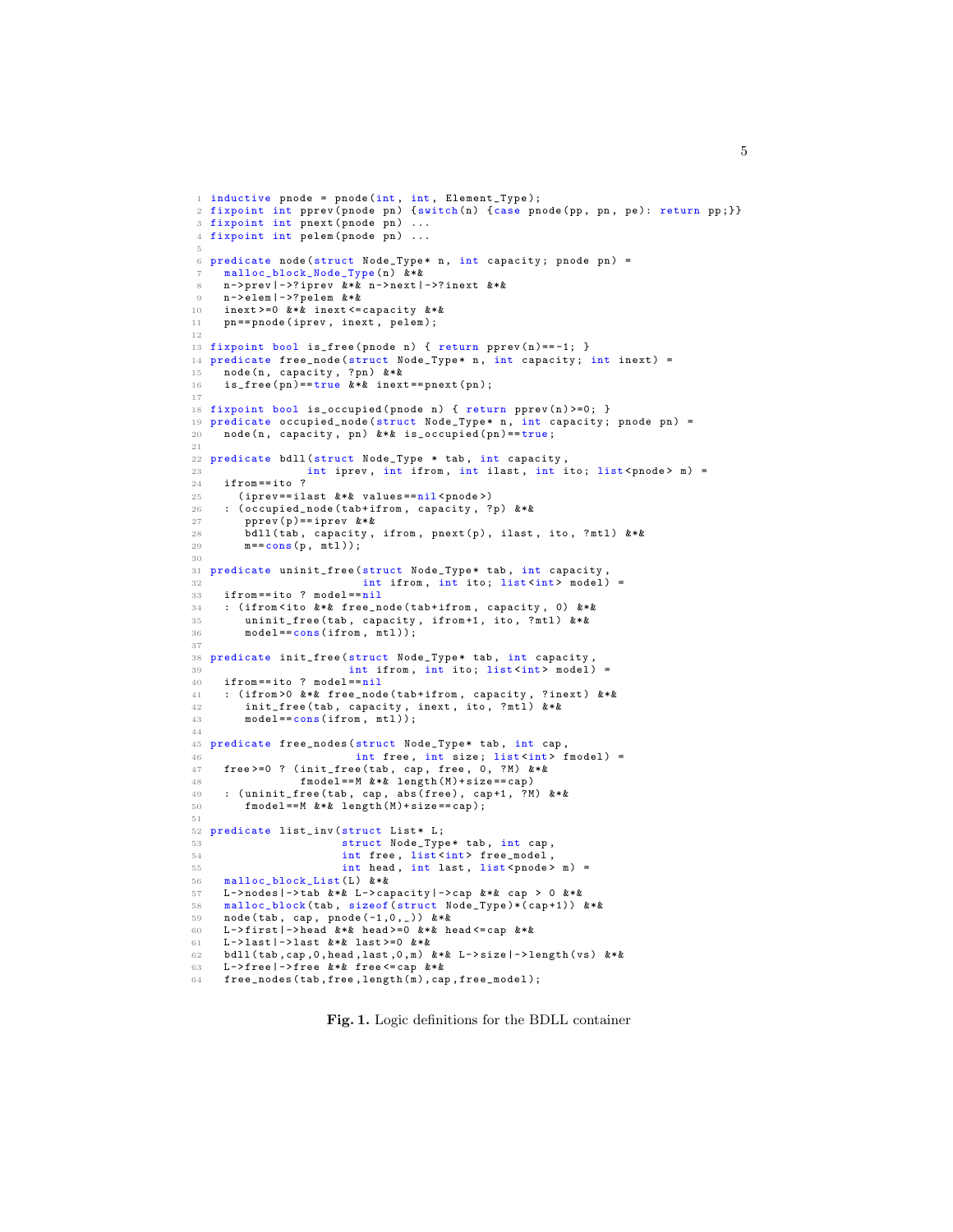```
1 inductive pnode = pnode(int, int, Element_Type);<br>2 fixpoint int pprev(pnode pn) {switch(n) {case pnode(pp, pn, pe): return pp;}}<br>3 fixpoint int pnext(pnode pn) ...
4 fixpoint int pelem (pnode pn) ...
 5
6 predicate node (struct Node_Type* n, int capacity; pnode pn) =
 7 malloc_block_Node_Type ( n) &*&
8 n -> prev | - >? iprev &*& n -> next | - >? inext &*&
9 n -> elem | - >? pelem &*&
10 inext >=0 &*& inext <= capacity &*&
    pn == pnode (iprev, inext, pelem);
12
13 fixpoint bool is_free(pnode n) { return pprev(n) ==-1; }
14 predicate free_node (struct Node_Type* n, int capacity; int inext) =
15 node (n, capacity, ?pn) &\ast\&<br>16 is free (pn) == true &\ast\& inext
     is\_free(pn) == true \& *& inext = pnext(pn);17
18 fixpoint bool is_occupied ( pnode n) { return pprev (n ) >=0; }
19 predicate occupied_node (struct Node_Type* n, int capacity; pnode pn) = 20 node (n, capacity, pn) **k is occupied (pn) == true:
    node (n, capacity, pn) &*& is_occupied (pn) == true;
21
22 predicate bdll (struct Node_Type * tab, int capacity,
23 int iprev, int ifrom, int ilast, int ito; list<pnode> m) =<br>24 ifrom==ito ?
25 ( iprev == ilast &*& values == nil < pnode >)
26 : ( occupied_node ( tab + ifrom , capacity , ?p ) &*&
         pprev(p) == iprev &*&
28 bdll (tab, capacity, ifrom, pnext (p), ilast, ito, ?mtl) &*&
29 m == cons(p, mt1));30
31 predicate uninit_free (struct Node_Type* tab, int capacity, \frac{32}{100} int ifrom, int ito; list<int> model)
                              int ifrom, int ito; list <int > model) =
33 ifrom == ito ? model == nil
34 : (ifrom \text{size } k free_node (tab+ifrom, capacity, 0) k*k<br>35 uninit_free (tab, capacity, ifrom +1, ito, ?mtl) k*k35 uninit_free (tab, capacity, ifrom +1, ito, ?mtl) \&* \&<br>36 model == cons(ifrom, mtl));
         model == cons (ifrom, mt1));37
38 predicate init_free (struct Node_Type* tab, int capacity,
39 int ifrom, int ito; list <math>\infty</math> model) = 40 if <math>\infty</math> = -10? model = -11ifrom==ito ? model==nil
41 : (ifrom >0 &*& free_node (tab+ifrom, capacity, ?inext) &*&
42 init_free(tab, capacity, inext, ito, ?mtl) &*&<br>43 model==cons(ifrom, mtl));
44
45 predicate free_nodes (struct Node_Type* tab, int cap,
46 int free, int size; list <int> fmodel) =
47 free >=0 ? ( init_free ( tab , cap , free , 0, ?M) &*&
48 fmodel == M &*& length (M) + size = cap)
49 : (uninit_free (tab, cap, abs (free), cap+1, ?M) &*&
50 fmodel == M &* & length (M) + size = = cap);
51
52 predicate list_inv (struct List* L;
53 struct Node_Type* tab, int cap,
54 int free, list <int > free_model,<br>55 int head, int last, list <pnode > m) =
56 malloc_block_List (L) &*&
57 L -> nodes |-> tab &*& L -> capacity |-> cap &*& cap > 0 &*&
58 malloc_block ( tab , sizeof ( struct Node_Type )*( cap +1)) &*&
59 node (tab, cap, pnode (-1,0,-)) &*&
60 L -> first |-> head &*& head >=0 &*& head <= cap &*&
61 L -> last | -> last &*& last >=0 &*&<br>62 bdll (tab.cap.0.head.last.0.m)
     bdll (tab, cap, 0, head, last, 0, m) &*& L->size |->length (vs) &*&
63 L -> free | -> free &*& free <= cap &*&
64 free_nodes ( tab , free , length (m ), cap , free_model );
```
<span id="page-4-9"></span><span id="page-4-8"></span><span id="page-4-7"></span><span id="page-4-1"></span>Fig. 1. Logic definitions for the BDLL container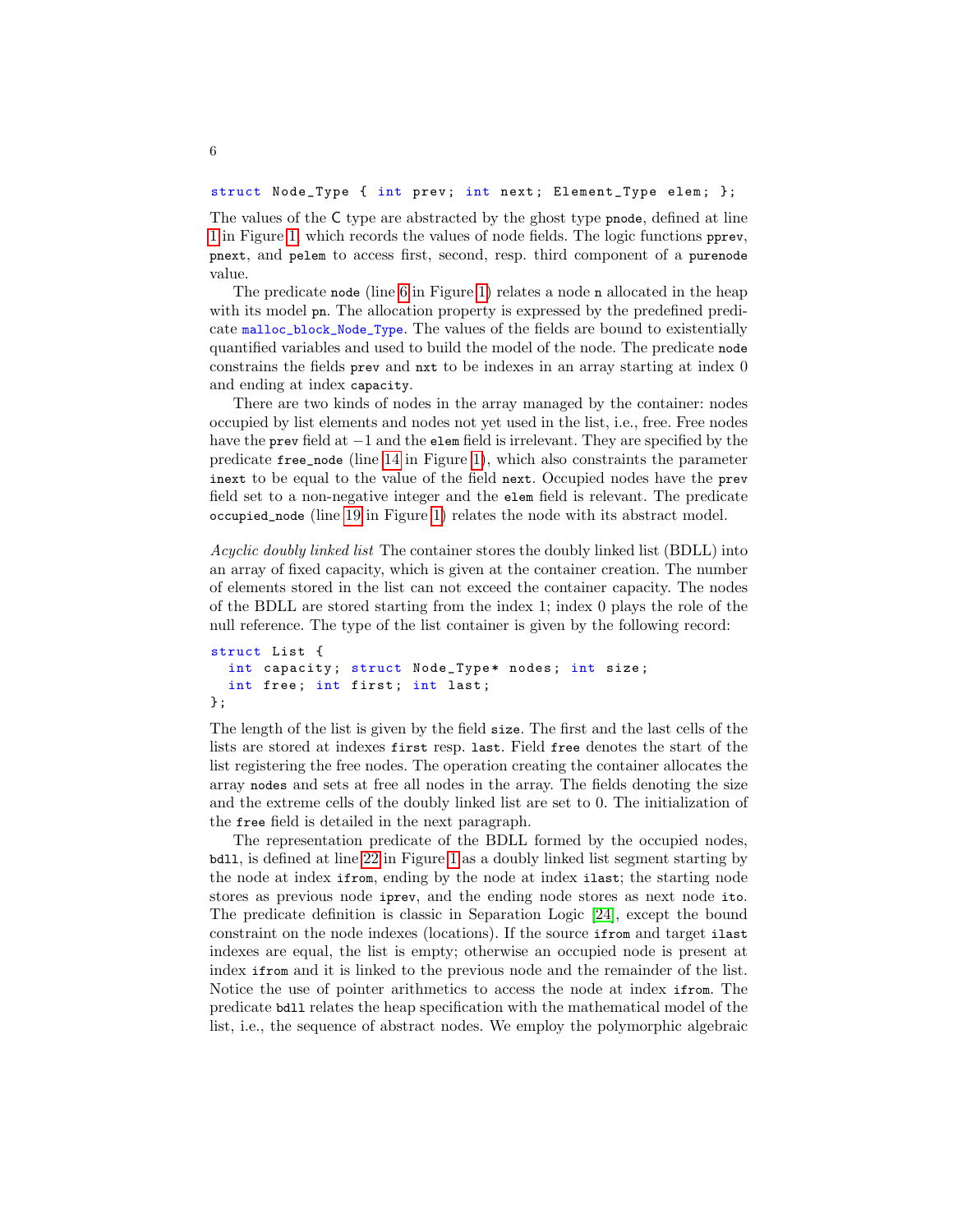#### struct Node\_Type { int prev; int next; Element\_Type elem; };

The values of the C type are abstracted by the ghost type pnode, defined at line [1](#page-4-0) in Figure [1,](#page-4-1) which records the values of node fields. The logic functions pprev, pnext, and pelem to access first, second, resp. third component of a purenode value.

The predicate node (line [6](#page-4-2) in Figure [1\)](#page-4-1) relates a node n allocated in the heap with its model pn. The allocation property is expressed by the predefined predicate malloc\_block\_Node\_Type. The values of the fields are bound to existentially quantified variables and used to build the model of the node. The predicate node constrains the fields prev and nxt to be indexes in an array starting at index 0 and ending at index capacity.

There are two kinds of nodes in the array managed by the container: nodes occupied by list elements and nodes not yet used in the list, i.e., free. Free nodes have the prev field at −1 and the elem field is irrelevant. They are specified by the predicate free\_node (line [14](#page-4-3) in Figure [1\)](#page-4-1), which also constraints the parameter inext to be equal to the value of the field next. Occupied nodes have the prev field set to a non-negative integer and the elem field is relevant. The predicate occupied\_node (line [19](#page-4-4) in Figure [1\)](#page-4-1) relates the node with its abstract model.

Acyclic doubly linked list The container stores the doubly linked list (BDLL) into an array of fixed capacity, which is given at the container creation. The number of elements stored in the list can not exceed the container capacity. The nodes of the BDLL are stored starting from the index 1; index 0 plays the role of the null reference. The type of the list container is given by the following record:

```
struct List {
  int capacity; struct Node_Type* nodes; int size;
  int free; int first; int last;
};
```
The length of the list is given by the field size. The first and the last cells of the lists are stored at indexes first resp. last. Field free denotes the start of the list registering the free nodes. The operation creating the container allocates the array nodes and sets at free all nodes in the array. The fields denoting the size and the extreme cells of the doubly linked list are set to 0. The initialization of the free field is detailed in the next paragraph.

The representation predicate of the BDLL formed by the occupied nodes, bdll, is defined at line [22](#page-4-5) in Figure [1](#page-4-1) as a doubly linked list segment starting by the node at index ifrom, ending by the node at index ilast; the starting node stores as previous node iprev, and the ending node stores as next node ito. The predicate definition is classic in Separation Logic [\[24\]](#page-16-5), except the bound constraint on the node indexes (locations). If the source ifrom and target ilast indexes are equal, the list is empty; otherwise an occupied node is present at index ifrom and it is linked to the previous node and the remainder of the list. Notice the use of pointer arithmetics to access the node at index ifrom. The predicate bdll relates the heap specification with the mathematical model of the list, i.e., the sequence of abstract nodes. We employ the polymorphic algebraic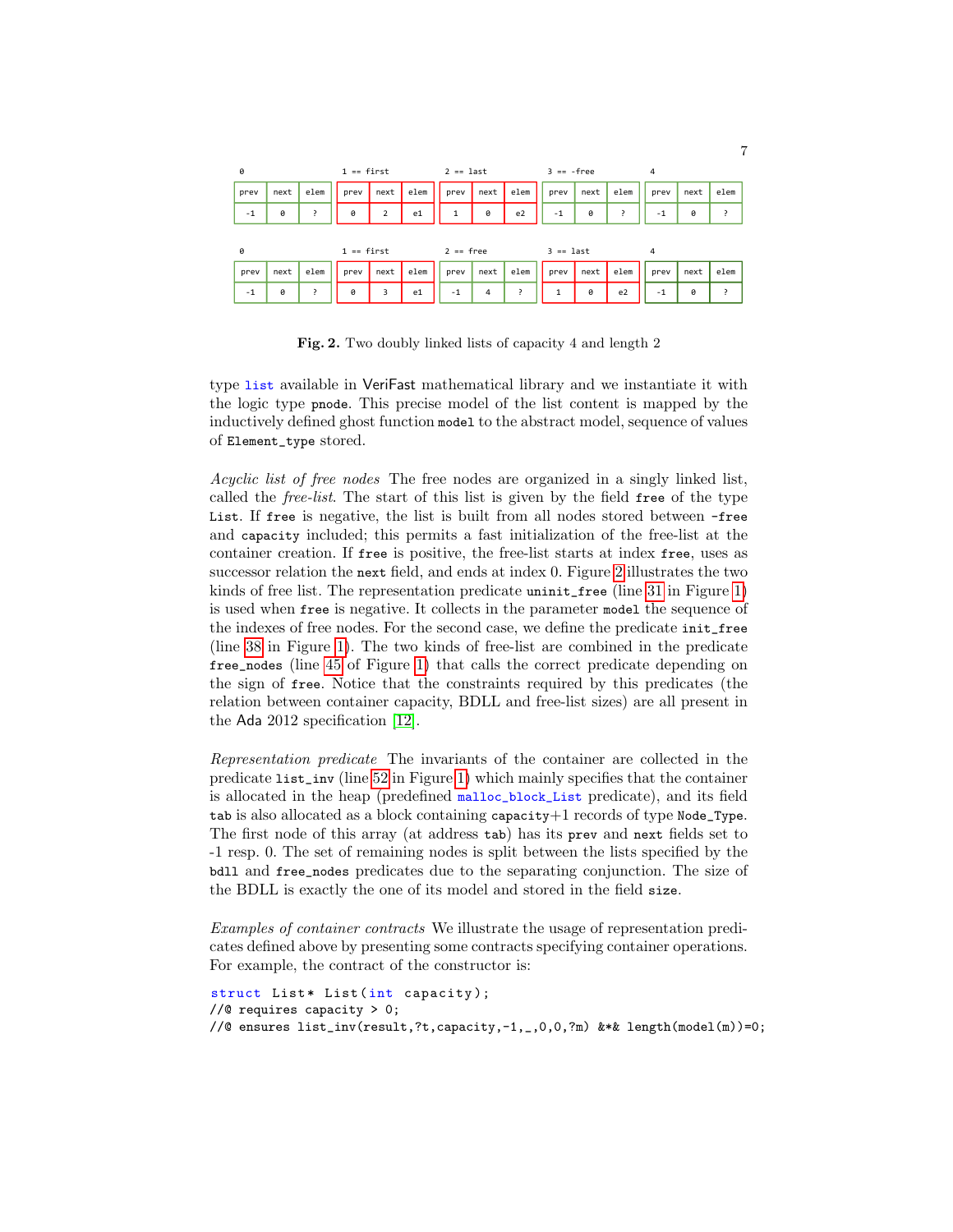| 0    |      |      | $1 == first$ |                |      | $2 == last$  |                |      | $3 == -free$ |      |      | 4    |      |      |
|------|------|------|--------------|----------------|------|--------------|----------------|------|--------------|------|------|------|------|------|
| prev | next | elem | prev         | next           | elem | prev         | next           | elem | prev         | next | elem | prev | next | elem |
| $-1$ | 0    | P    | ø            | $\overline{2}$ | e1   | $\mathbf{1}$ | 0              | e2   | $-1$         | 0    | P.   | $-1$ | 0    | P.   |
|      |      |      |              |                |      |              |                |      |              |      |      |      |      |      |
| 0    |      |      | $1 == first$ |                |      | $2 == free$  |                |      | $3 == last$  |      |      | 4    |      |      |
| prev | next | elem | prev         | next           | elem | prev         | next           | elem | prev         | next | elem | prev | next | elem |
| $-1$ | 0    | P    | ø            | 3              | e1   | $-1$         | $\overline{4}$ | P    | $\mathbf{1}$ | 0    | e2   | $-1$ | 0    | P    |

<span id="page-6-0"></span>Fig. 2. Two doubly linked lists of capacity 4 and length 2

type list available in VeriFast mathematical library and we instantiate it with the logic type pnode. This precise model of the list content is mapped by the inductively defined ghost function model to the abstract model, sequence of values of Element\_type stored.

Acyclic list of free nodes The free nodes are organized in a singly linked list, called the free-list. The start of this list is given by the field free of the type List. If free is negative, the list is built from all nodes stored between -free and capacity included; this permits a fast initialization of the free-list at the container creation. If free is positive, the free-list starts at index free, uses as successor relation the next field, and ends at index 0. Figure [2](#page-6-0) illustrates the two kinds of free list. The representation predicate uninit\_free (line [31](#page-4-6) in Figure [1\)](#page-4-1) is used when free is negative. It collects in the parameter model the sequence of the indexes of free nodes. For the second case, we define the predicate init\_free (line [38](#page-4-7) in Figure [1\)](#page-4-1). The two kinds of free-list are combined in the predicate free\_nodes (line [45](#page-4-8) of Figure [1\)](#page-4-1) that calls the correct predicate depending on the sign of free. Notice that the constraints required by this predicates (the relation between container capacity, BDLL and free-list sizes) are all present in the Ada 2012 specification [\[12\]](#page-15-1).

Representation predicate The invariants of the container are collected in the predicate list\_inv (line [52](#page-4-9) in Figure [1\)](#page-4-1) which mainly specifies that the container is allocated in the heap (predefined malloc\_block\_List predicate), and its field tab is also allocated as a block containing  $\epsilon$  apacity  $+1$  records of type Node\_Type. The first node of this array (at address tab) has its prev and next fields set to -1 resp. 0. The set of remaining nodes is split between the lists specified by the bdll and free\_nodes predicates due to the separating conjunction. The size of the BDLL is exactly the one of its model and stored in the field size.

Examples of container contracts We illustrate the usage of representation predicates defined above by presenting some contracts specifying container operations. For example, the contract of the constructor is:

```
struct List* List (int capacity);
//@ requires capacity > 0;
//@ ensures list_inv(result,?t,capacity,-1,_,0,0,?m) &*& length(model(m))=0;
```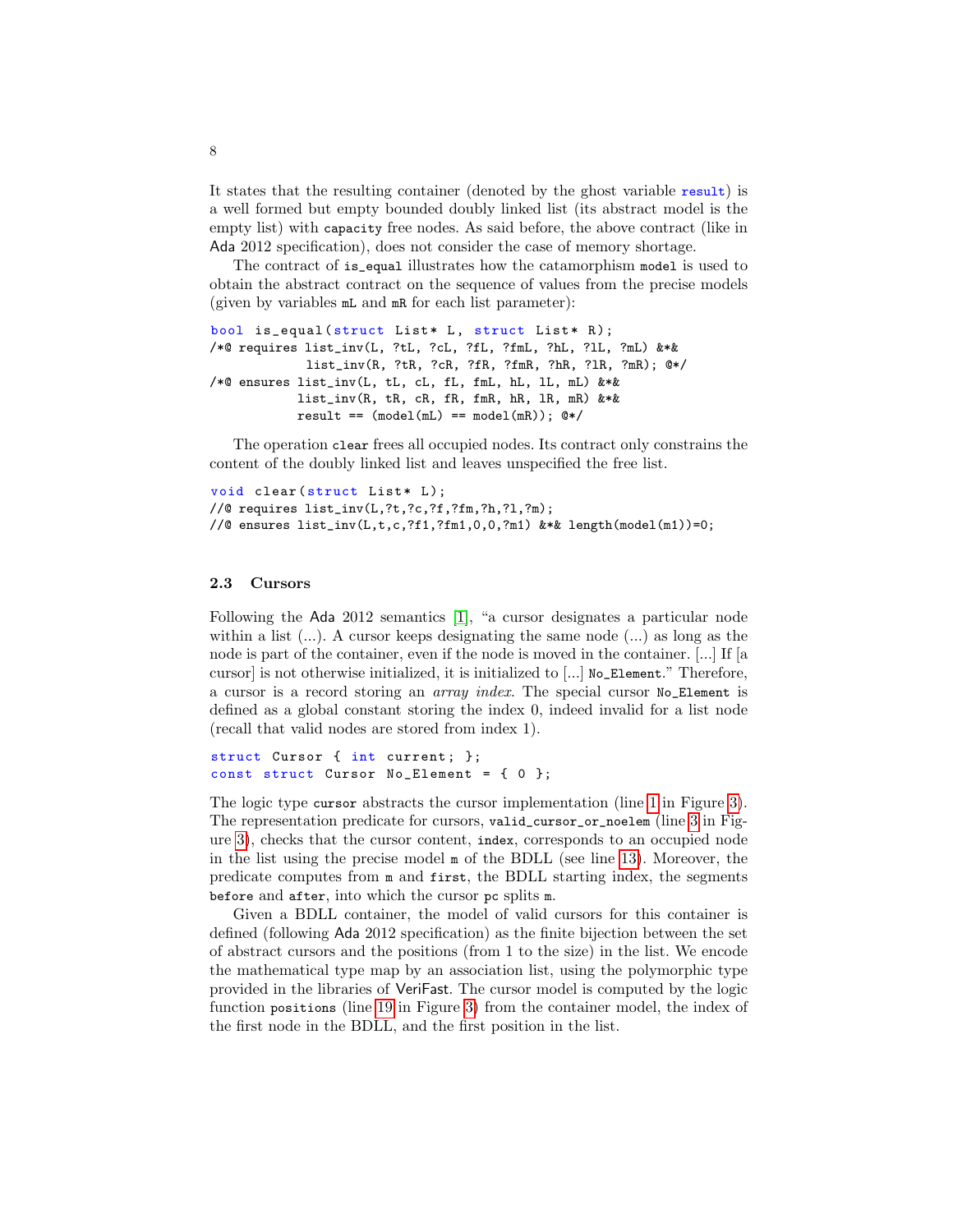It states that the resulting container (denoted by the ghost variable result) is a well formed but empty bounded doubly linked list (its abstract model is the empty list) with capacity free nodes. As said before, the above contract (like in Ada 2012 specification), does not consider the case of memory shortage.

The contract of is\_equal illustrates how the catamorphism model is used to obtain the abstract contract on the sequence of values from the precise models (given by variables mL and mR for each list parameter):

```
bool is_equal (struct List* L, struct List* R);
/*@ requires list_inv(L, ?tL, ?cL, ?fL, ?fmL, ?hL, ?lL, ?mL) &*&
            list_inv(R, ?tR, ?cR, ?fR, ?fmR, ?hR, ?lR, ?mR); @*/
/*@ ensures list_inv(L, tL, cL, fL, fmL, hL, lL, mL) &*&
           list_inv(R, tR, cR, fR, fmR, hR, lR, mR) &*&
           result == (model(mL) == model(mR)); @*/
```
The operation clear frees all occupied nodes. Its contract only constrains the content of the doubly linked list and leaves unspecified the free list.

```
void clear (struct List* L);
//@ requires list_inv(L,?t,?c,?f,?fm,?h,?l,?m);
\frac{1}{e} ensures list_inv(L,t,c,?f1,?fm1,0,0,?m1) &*& length(model(m1))=0;
```
#### <span id="page-7-0"></span>2.3 Cursors

Following the Ada 2012 semantics [\[1\]](#page-14-0), "a cursor designates a particular node within a list  $(...)$ . A cursor keeps designating the same node  $(...)$  as long as the node is part of the container, even if the node is moved in the container. [...] If [a cursor] is not otherwise initialized, it is initialized to [...] No\_Element." Therefore, a cursor is a record storing an array index. The special cursor No\_Element is defined as a global constant storing the index 0, indeed invalid for a list node (recall that valid nodes are stored from index 1).

```
struct Cursor { int current; };
const struct Cursor No_Element = { 0 };
```
The logic type cursor abstracts the cursor implementation (line [1](#page-8-0) in Figure [3\)](#page-8-1). The representation predicate for cursors, valid\_cursor\_or\_noelem (line [3](#page-8-2) in Figure [3\)](#page-8-1), checks that the cursor content, index, corresponds to an occupied node in the list using the precise model m of the BDLL (see line [13\)](#page-8-3). Moreover, the predicate computes from m and first, the BDLL starting index, the segments before and after, into which the cursor pc splits m.

Given a BDLL container, the model of valid cursors for this container is defined (following Ada 2012 specification) as the finite bijection between the set of abstract cursors and the positions (from 1 to the size) in the list. We encode the mathematical type map by an association list, using the polymorphic type provided in the libraries of VeriFast. The cursor model is computed by the logic function positions (line [19](#page-8-4) in Figure [3\)](#page-8-1) from the container model, the index of the first node in the BDLL, and the first position in the list.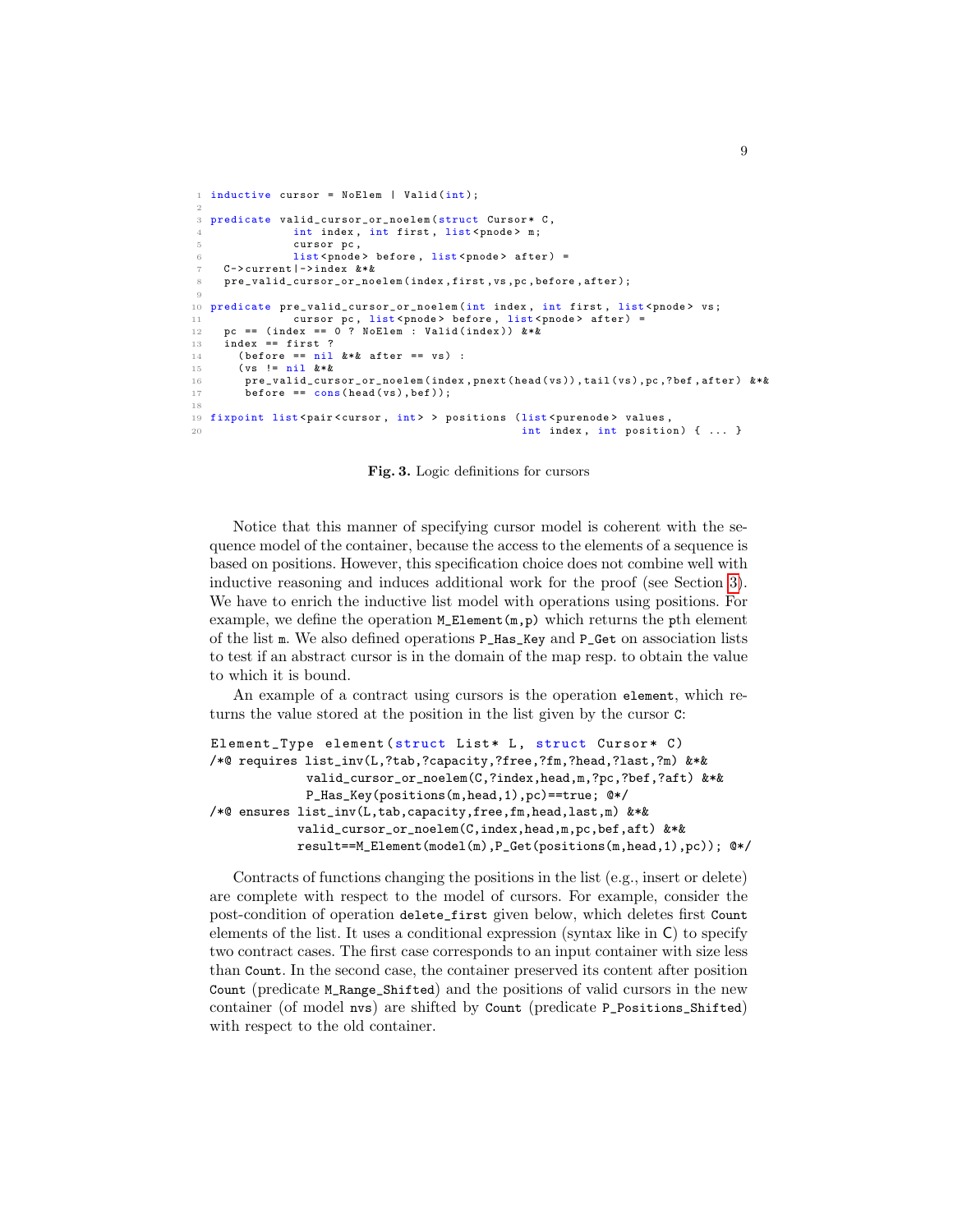```
1 inductive cursor = NoElem | Valid (int):
 2
3 predicate valid_cursor_or_noelem (struct Cursor* C,
4 int index, int first, list < pnode > m;<br>5 cursor pc.
                cursor pc,
6 list < pnode > before , list < pnode > after ) =
     C->current |->index &*&
8 pre_valid_cursor_or_noelem ( index , first ,vs ,pc , before , after );
Q10 predicate pre_valid_cursor_or_noelem(int index, int first, list < pnode > vs;
11 cursor pc, list < pnode > before, list < pnode > after ) =
12 pc == (index == 0 ? NoElem : Valid(index)) k*k<br>13 index == first ?
     index == first ?14 ( before == nil &*& after == vs ) :
15 (vs != nil &*&<br>16 pre_valid_curs
        16 pre_valid_cursor_or_noelem ( index , pnext ( head ( vs )) , tail ( vs ),pc ,? bef , after ) &*&
17 before == cons (head (vs), bef));
18
19 fixpoint list<pair<cursor, int> > positions (list<purenode> values,
                                                    int index, int position) { ... }
```
<span id="page-8-1"></span>Fig. 3. Logic definitions for cursors

<span id="page-8-4"></span>Notice that this manner of specifying cursor model is coherent with the sequence model of the container, because the access to the elements of a sequence is based on positions. However, this specification choice does not combine well with inductive reasoning and induces additional work for the proof (see Section [3\)](#page-9-0). We have to enrich the inductive list model with operations using positions. For example, we define the operation  $M$ -Element $(m,p)$  which returns the pth element of the list m. We also defined operations P\_Has\_Key and P\_Get on association lists to test if an abstract cursor is in the domain of the map resp. to obtain the value to which it is bound.

An example of a contract using cursors is the operation element, which returns the value stored at the position in the list given by the cursor C:

```
Element_Type element ( struct List* L, struct Cursor* C)
/*@ requires list_inv(L,?tab,?capacity,?free,?fm,?head,?last,?m) &*&
             valid_cursor_or_noelem(C,?index,head,m,?pc,?bef,?aft) &*&
            P_Has_Key(positions(m,head,1),pc)==true; @*/
/*@ ensures list_inv(L,tab,capacity,free,fm,head,last,m) &*&
            valid_cursor_or_noelem(C,index,head,m,pc,bef,aft) &*&
           result==M_Element(model(m),P_Get(positions(m,head,1),pc)); @*/
```
Contracts of functions changing the positions in the list (e.g., insert or delete) are complete with respect to the model of cursors. For example, consider the post-condition of operation delete\_first given below, which deletes first Count elements of the list. It uses a conditional expression (syntax like in C) to specify two contract cases. The first case corresponds to an input container with size less than Count. In the second case, the container preserved its content after position Count (predicate M\_Range\_Shifted) and the positions of valid cursors in the new container (of model nvs) are shifted by Count (predicate P\_Positions\_Shifted) with respect to the old container.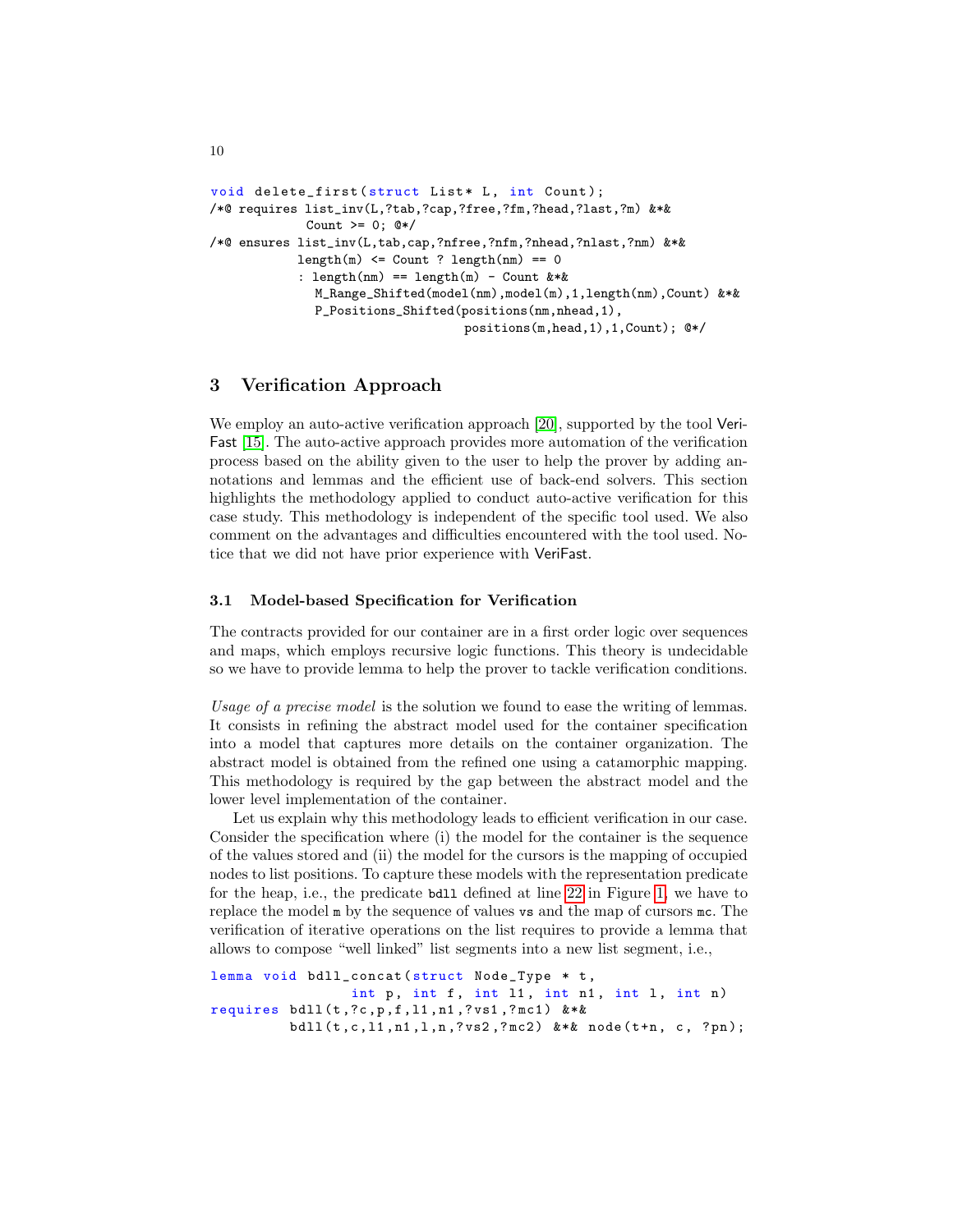```
void delete_first (struct List* L, int Count);
/*@ requires list_inv(L,?tab,?cap,?free,?fm,?head,?last,?m) &*&
            Count >= 0; @*//*@ ensures list_inv(L,tab,cap,?nfree,?nfm,?nhead,?nlast,?nm) &*&
           length(m) \leq Count ? length(m) == 0: length(nm) == length(m) - Count & *&M_Range_Shifted(model(nm),model(m),1,length(nm),Count) &*&
              P_Positions_Shifted(positions(nm,nhead,1),
                                  positions(m,head,1),1,Count); @*/
```
## <span id="page-9-0"></span>3 Verification Approach

We employ an auto-active verification approach [\[20\]](#page-15-3), supported by the tool Veri-Fast [\[15\]](#page-15-4). The auto-active approach provides more automation of the verification process based on the ability given to the user to help the prover by adding annotations and lemmas and the efficient use of back-end solvers. This section highlights the methodology applied to conduct auto-active verification for this case study. This methodology is independent of the specific tool used. We also comment on the advantages and difficulties encountered with the tool used. Notice that we did not have prior experience with VeriFast.

#### <span id="page-9-1"></span>3.1 Model-based Specification for Verification

The contracts provided for our container are in a first order logic over sequences and maps, which employs recursive logic functions. This theory is undecidable so we have to provide lemma to help the prover to tackle verification conditions.

Usage of a precise model is the solution we found to ease the writing of lemmas. It consists in refining the abstract model used for the container specification into a model that captures more details on the container organization. The abstract model is obtained from the refined one using a catamorphic mapping. This methodology is required by the gap between the abstract model and the lower level implementation of the container.

Let us explain why this methodology leads to efficient verification in our case. Consider the specification where (i) the model for the container is the sequence of the values stored and (ii) the model for the cursors is the mapping of occupied nodes to list positions. To capture these models with the representation predicate for the heap, i.e., the predicate bdll defined at line [22](#page-4-5) in Figure [1,](#page-4-1) we have to replace the model m by the sequence of values vs and the map of cursors mc. The verification of iterative operations on the list requires to provide a lemma that allows to compose "well linked" list segments into a new list segment, i.e.,

```
lemma void bdll_concat ( struct Node_Type * t ,
                 int p, int f, int 11, int n1, int n)
requires ball(t, ?c, p, f, 11, n1, ?vs1, ?mc1) &*&bdll (t, c, 11, n1, l, n, ? vs2, ? mc2) &*& node (t+n, c, ? pn);
```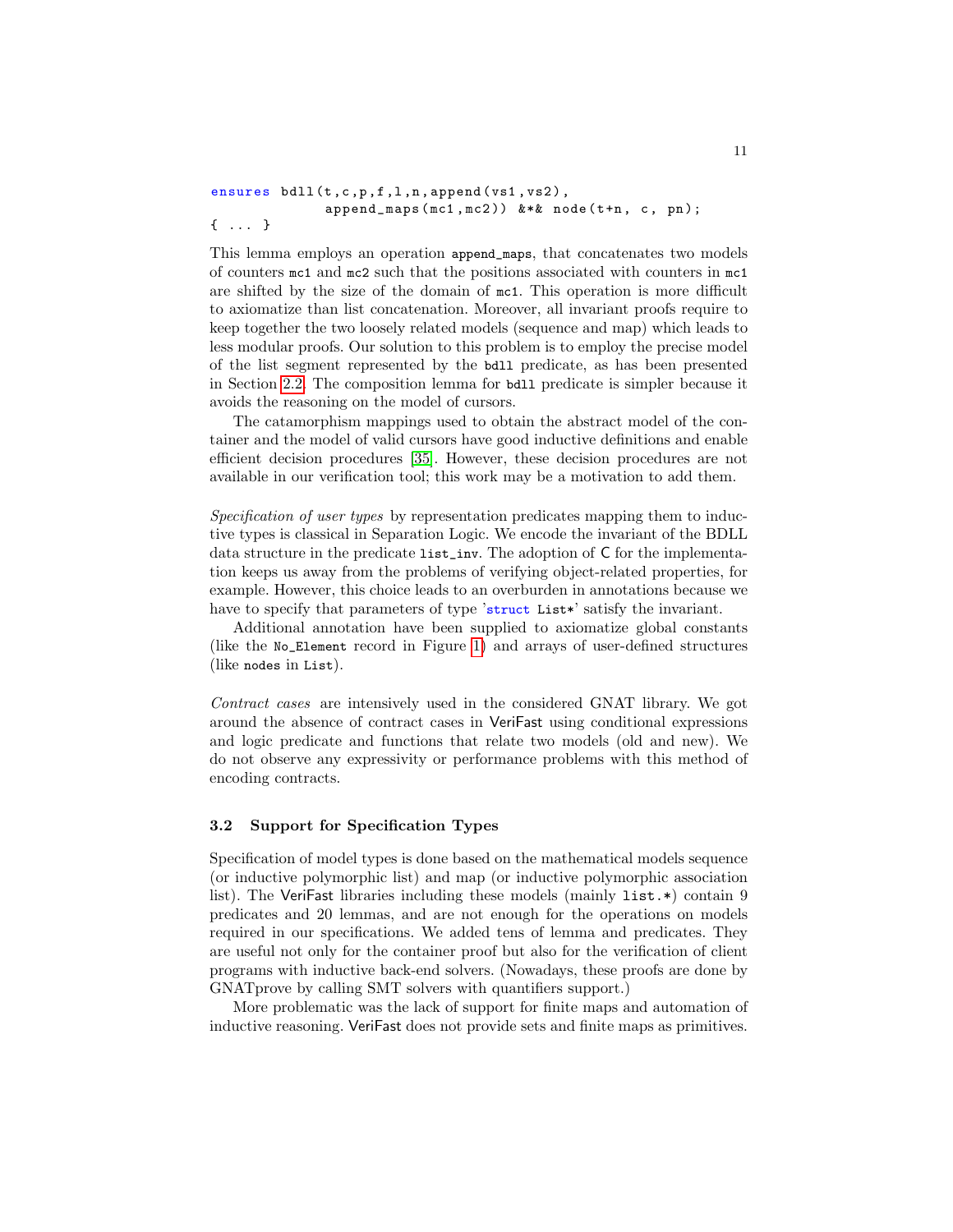```
ensures bdll(t, c, p, f, l, n, append(vs1, vs2),
              append\_maps(mc1,mc2)) &*&node(t+n, c, pn);{ ... }
```
This lemma employs an operation append\_maps, that concatenates two models of counters mc1 and mc2 such that the positions associated with counters in mc1 are shifted by the size of the domain of mc1. This operation is more difficult to axiomatize than list concatenation. Moreover, all invariant proofs require to keep together the two loosely related models (sequence and map) which leads to less modular proofs. Our solution to this problem is to employ the precise model of the list segment represented by the bdll predicate, as has been presented in Section [2.2.](#page-3-0) The composition lemma for bdll predicate is simpler because it avoids the reasoning on the model of cursors.

The catamorphism mappings used to obtain the abstract model of the container and the model of valid cursors have good inductive definitions and enable efficient decision procedures [\[35\]](#page-16-4). However, these decision procedures are not available in our verification tool; this work may be a motivation to add them.

Specification of user types by representation predicates mapping them to inductive types is classical in Separation Logic. We encode the invariant of the BDLL data structure in the predicate list\_inv. The adoption of C for the implementation keeps us away from the problems of verifying object-related properties, for example. However, this choice leads to an overburden in annotations because we have to specify that parameters of type 'struct List\*' satisfy the invariant.

Additional annotation have been supplied to axiomatize global constants (like the No\_Element record in Figure [1\)](#page-4-1) and arrays of user-defined structures (like nodes in List).

Contract cases are intensively used in the considered GNAT library. We got around the absence of contract cases in VeriFast using conditional expressions and logic predicate and functions that relate two models (old and new). We do not observe any expressivity or performance problems with this method of encoding contracts.

## <span id="page-10-0"></span>3.2 Support for Specification Types

Specification of model types is done based on the mathematical models sequence (or inductive polymorphic list) and map (or inductive polymorphic association list). The VeriFast libraries including these models (mainly list.\*) contain 9 predicates and 20 lemmas, and are not enough for the operations on models required in our specifications. We added tens of lemma and predicates. They are useful not only for the container proof but also for the verification of client programs with inductive back-end solvers. (Nowadays, these proofs are done by GNATprove by calling SMT solvers with quantifiers support.)

More problematic was the lack of support for finite maps and automation of inductive reasoning. VeriFast does not provide sets and finite maps as primitives.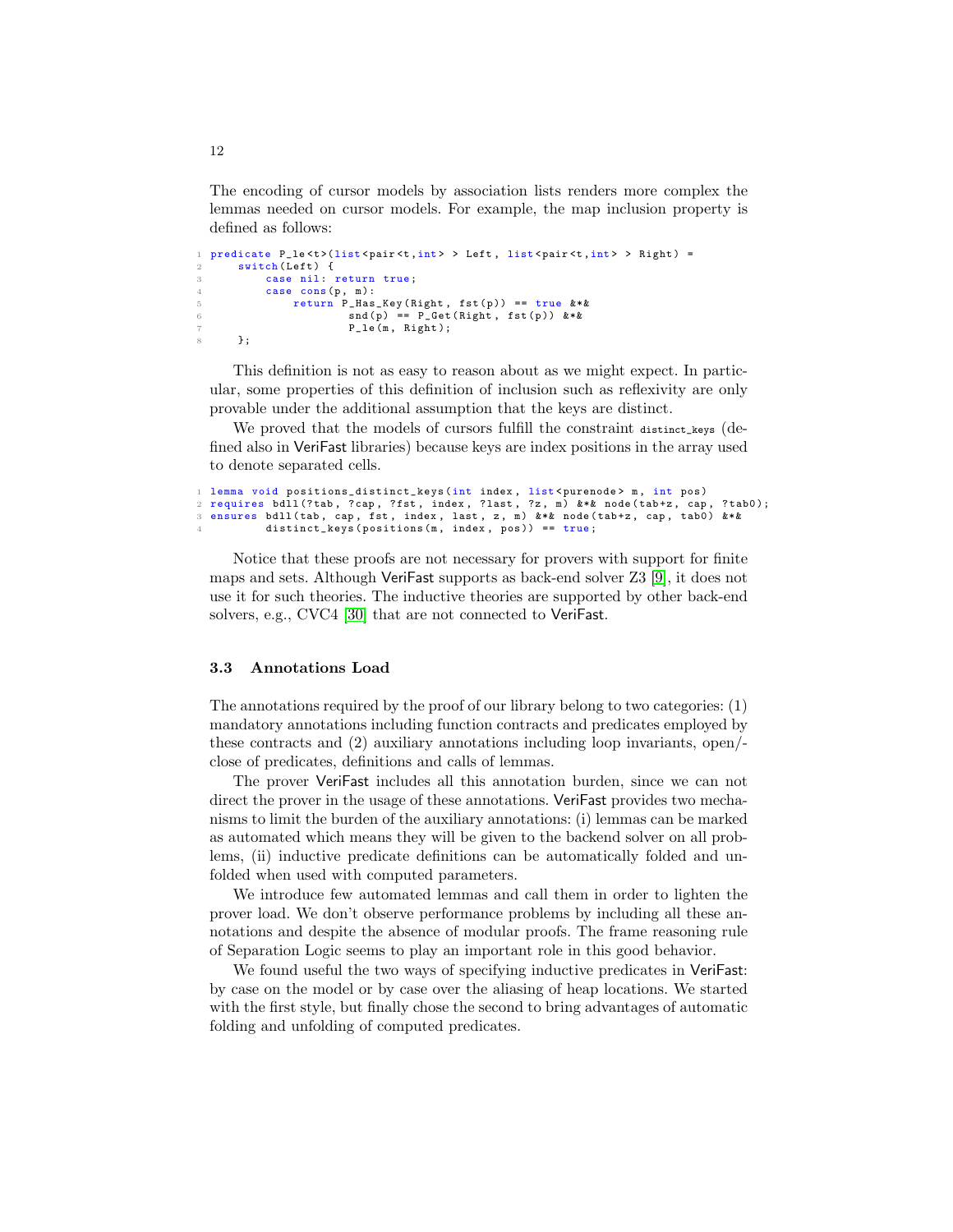The encoding of cursor models by association lists renders more complex the lemmas needed on cursor models. For example, the map inclusion property is defined as follows:

```
predicate P_le <t > (list < pair < t, int > > Left, list < pair < t, int > > Right ) =
    switch (Left) {
         case nil: return true;
         case cons(p, m):
              return P_{Has Key(Right, fst(p)) == true &*&
                        \text{snd}(p) == P_{\text{Get}}(Right, \text{fst}(p)) &*&
                        P_le(m, Right);
    8 };
```
This definition is not as easy to reason about as we might expect. In particular, some properties of this definition of inclusion such as reflexivity are only provable under the additional assumption that the keys are distinct.

We proved that the models of cursors fulfill the constraint distinct\_keys (defined also in VeriFast libraries) because keys are index positions in the array used to denote separated cells.

```
1 lemma void positions_distinct_keys (int index, list < purenode > m, int pos)
2 requires bdll(?tab, ?cap, ?fst, index, ?last, ?z, m)                         &*& node(tab+z, cap, ?tab0);<br>3 ensures bdll(tab, cap, fst, index, last, z, m)                             &*& node(tab+z, cap, tab0)           
                distinct_keys (positions (m, index, pos)) == true;
```
Notice that these proofs are not necessary for provers with support for finite maps and sets. Although VeriFast supports as back-end solver Z3 [\[9\]](#page-15-5), it does not use it for such theories. The inductive theories are supported by other back-end solvers, e.g., CVC4 [\[30\]](#page-16-6) that are not connected to VeriFast.

#### 3.3 Annotations Load

The annotations required by the proof of our library belong to two categories: (1) mandatory annotations including function contracts and predicates employed by these contracts and (2) auxiliary annotations including loop invariants, open/ close of predicates, definitions and calls of lemmas.

The prover VeriFast includes all this annotation burden, since we can not direct the prover in the usage of these annotations. VeriFast provides two mechanisms to limit the burden of the auxiliary annotations: (i) lemmas can be marked as automated which means they will be given to the backend solver on all problems, (ii) inductive predicate definitions can be automatically folded and unfolded when used with computed parameters.

We introduce few automated lemmas and call them in order to lighten the prover load. We don't observe performance problems by including all these annotations and despite the absence of modular proofs. The frame reasoning rule of Separation Logic seems to play an important role in this good behavior.

We found useful the two ways of specifying inductive predicates in VeriFast: by case on the model or by case over the aliasing of heap locations. We started with the first style, but finally chose the second to bring advantages of automatic folding and unfolding of computed predicates.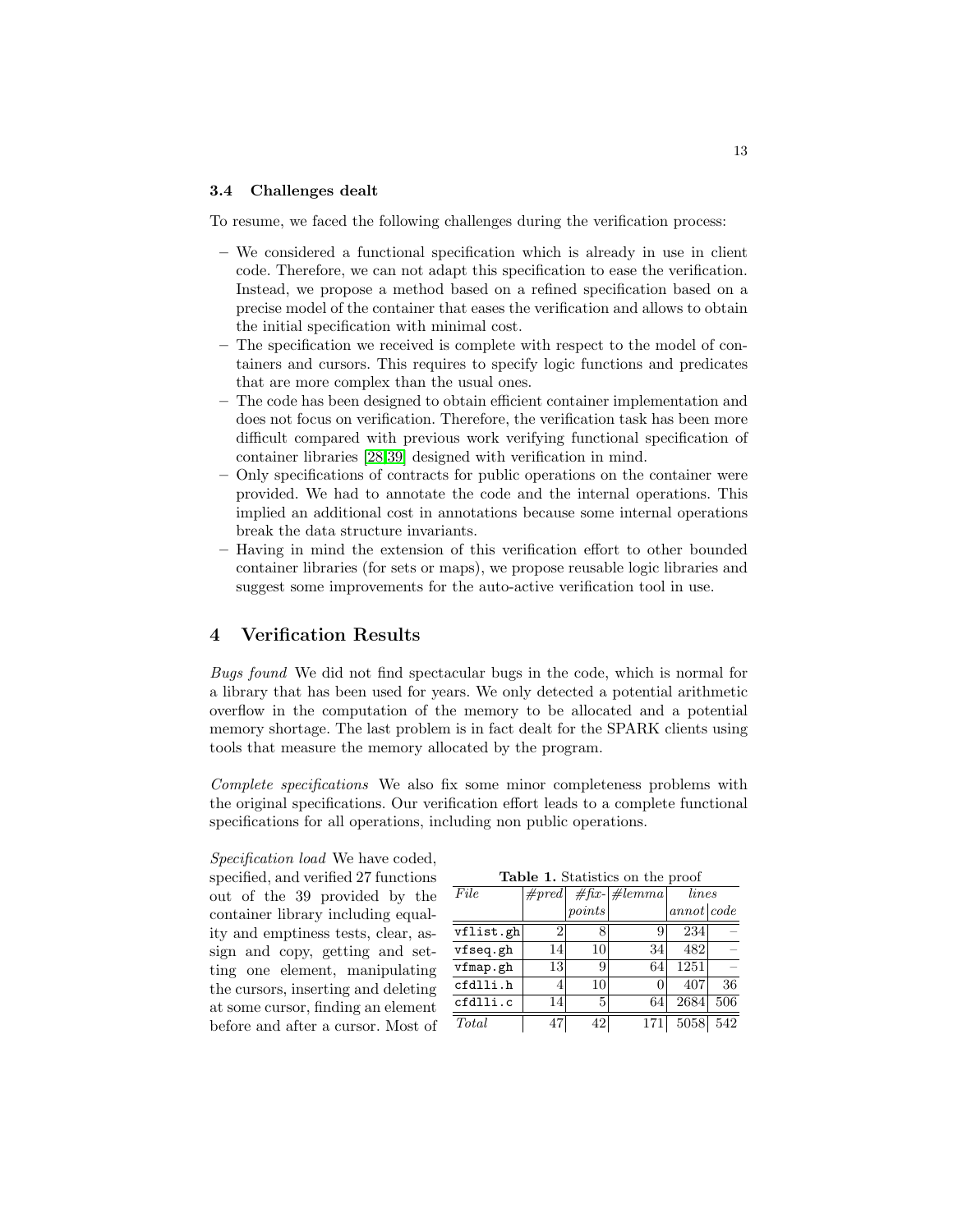#### 3.4 Challenges dealt

To resume, we faced the following challenges during the verification process:

- We considered a functional specification which is already in use in client code. Therefore, we can not adapt this specification to ease the verification. Instead, we propose a method based on a refined specification based on a precise model of the container that eases the verification and allows to obtain the initial specification with minimal cost.
- The specification we received is complete with respect to the model of containers and cursors. This requires to specify logic functions and predicates that are more complex than the usual ones.
- The code has been designed to obtain efficient container implementation and does not focus on verification. Therefore, the verification task has been more difficult compared with previous work verifying functional specification of container libraries [\[28,](#page-16-0)[39\]](#page-16-7) designed with verification in mind.
- Only specifications of contracts for public operations on the container were provided. We had to annotate the code and the internal operations. This implied an additional cost in annotations because some internal operations break the data structure invariants.
- Having in mind the extension of this verification effort to other bounded container libraries (for sets or maps), we propose reusable logic libraries and suggest some improvements for the auto-active verification tool in use.

## <span id="page-12-0"></span>4 Verification Results

Bugs found We did not find spectacular bugs in the code, which is normal for a library that has been used for years. We only detected a potential arithmetic overflow in the computation of the memory to be allocated and a potential memory shortage. The last problem is in fact dealt for the SPARK clients using tools that measure the memory allocated by the program.

Complete specifications We also fix some minor completeness problems with the original specifications. Our verification effort leads to a complete functional specifications for all operations, including non public operations.

Specification load We have coded. specified, and verified 27 functions out of the 39 provided by the container library including equality and emptiness tests, clear, assign and copy, getting and setting one element, manipulating the cursors, inserting and deleting at some cursor, finding an element before and after a cursor. Most of

<span id="page-12-1"></span>

|  | <b>Table 1.</b> Statistics on the proof |  |
|--|-----------------------------------------|--|
|--|-----------------------------------------|--|

| File        | $\#pred$ |        | $#fix$ - #lemma | lines      |     |
|-------------|----------|--------|-----------------|------------|-----|
|             |          | points |                 | annot code |     |
| vflist.gh   | 2        | 8      | 9               | 234        |     |
| vfseq.gh    | 14       | 10     | 34              | 482        |     |
| $v$ fmap.gh | 13       | 9      | 64              | 1251       |     |
| cfdlli.h    | 4        | 10     |                 | 407        | 36  |
| cfdlli.c    | 14       | 5      | 64              | 2684       | 506 |
| Total       | 47       | 42     | 171             | 5058       | 542 |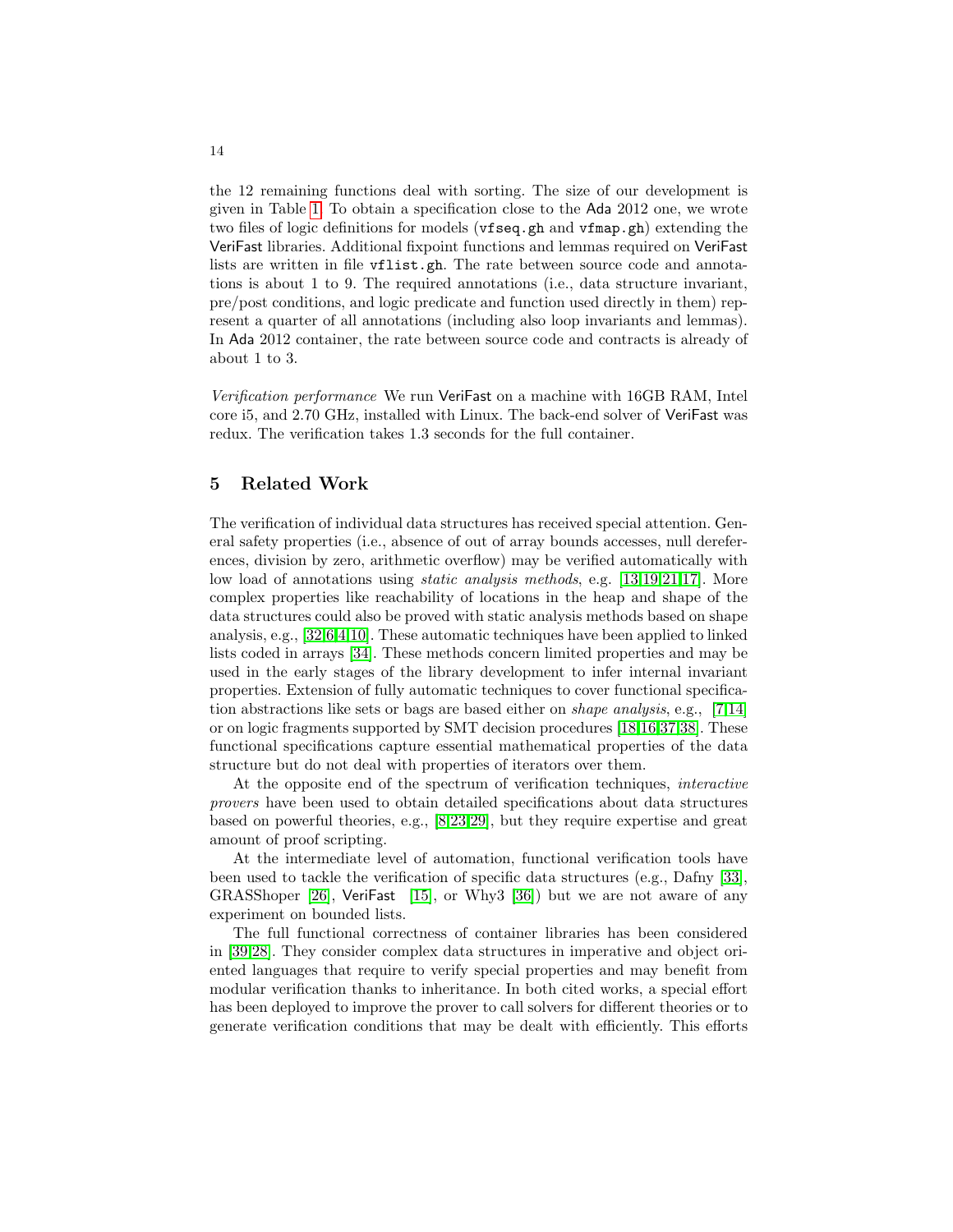the 12 remaining functions deal with sorting. The size of our development is given in Table [1.](#page-12-1) To obtain a specification close to the Ada 2012 one, we wrote two files of logic definitions for models (vfseq.gh and vfmap.gh) extending the VeriFast libraries. Additional fixpoint functions and lemmas required on VeriFast lists are written in file vflist.gh. The rate between source code and annotations is about 1 to 9. The required annotations (i.e., data structure invariant, pre/post conditions, and logic predicate and function used directly in them) represent a quarter of all annotations (including also loop invariants and lemmas). In Ada 2012 container, the rate between source code and contracts is already of about 1 to 3.

Verification performance We run VeriFast on a machine with 16GB RAM, Intel core i5, and 2.70 GHz, installed with Linux. The back-end solver of VeriFast was redux. The verification takes 1.3 seconds for the full container.

## <span id="page-13-0"></span>5 Related Work

The verification of individual data structures has received special attention. General safety properties (i.e., absence of out of array bounds accesses, null dereferences, division by zero, arithmetic overflow) may be verified automatically with low load of annotations using static analysis methods, e.g. [\[13](#page-15-6)[,19,](#page-15-7)[21,](#page-15-8)[17\]](#page-15-9). More complex properties like reachability of locations in the heap and shape of the data structures could also be proved with static analysis methods based on shape analysis, e.g., [\[32,](#page-16-8)[6,](#page-15-10)[4](#page-15-11)[,10\]](#page-15-12). These automatic techniques have been applied to linked lists coded in arrays [\[34\]](#page-16-9). These methods concern limited properties and may be used in the early stages of the library development to infer internal invariant properties. Extension of fully automatic techniques to cover functional specification abstractions like sets or bags are based either on shape analysis, e.g., [\[7,](#page-15-13)[14\]](#page-15-14) or on logic fragments supported by SMT decision procedures [\[18,](#page-15-15)[16,](#page-15-16)[37,](#page-16-10)[38\]](#page-16-11). These functional specifications capture essential mathematical properties of the data structure but do not deal with properties of iterators over them.

At the opposite end of the spectrum of verification techniques, interactive provers have been used to obtain detailed specifications about data structures based on powerful theories, e.g., [\[8,](#page-15-17)[23,](#page-15-18)[29\]](#page-16-12), but they require expertise and great amount of proof scripting.

At the intermediate level of automation, functional verification tools have been used to tackle the verification of specific data structures (e.g., Dafny [\[33\]](#page-16-13), GRASShoper [\[26\]](#page-16-14), VeriFast [\[15\]](#page-15-4), or Why3 [\[36\]](#page-16-15)) but we are not aware of any experiment on bounded lists.

The full functional correctness of container libraries has been considered in [\[39](#page-16-7)[,28\]](#page-16-0). They consider complex data structures in imperative and object oriented languages that require to verify special properties and may benefit from modular verification thanks to inheritance. In both cited works, a special effort has been deployed to improve the prover to call solvers for different theories or to generate verification conditions that may be dealt with efficiently. This efforts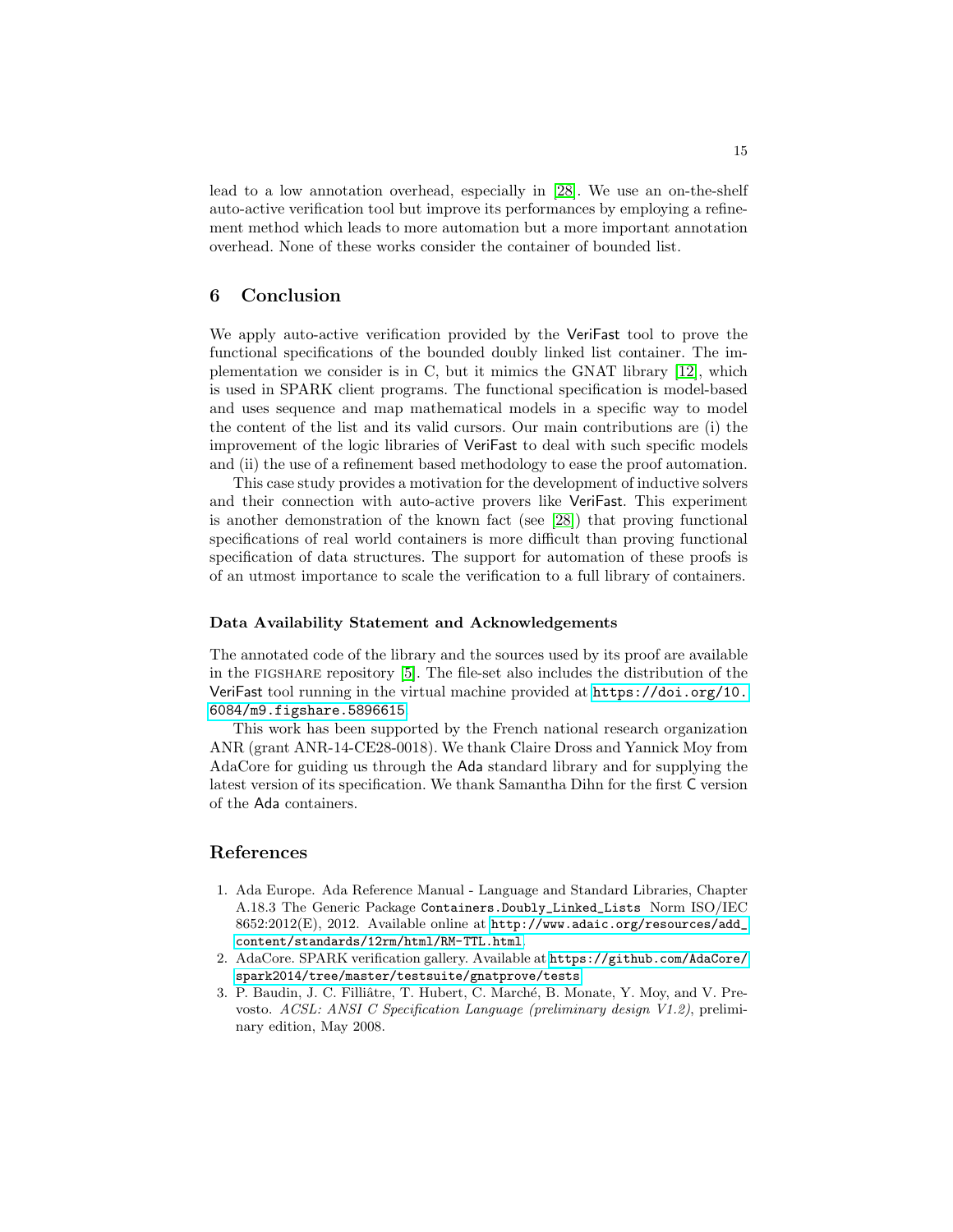lead to a low annotation overhead, especially in [\[28\]](#page-16-0). We use an on-the-shelf auto-active verification tool but improve its performances by employing a refinement method which leads to more automation but a more important annotation overhead. None of these works consider the container of bounded list.

## 6 Conclusion

We apply auto-active verification provided by the VeriFast tool to prove the functional specifications of the bounded doubly linked list container. The implementation we consider is in C, but it mimics the GNAT library [\[12\]](#page-15-1), which is used in SPARK client programs. The functional specification is model-based and uses sequence and map mathematical models in a specific way to model the content of the list and its valid cursors. Our main contributions are (i) the improvement of the logic libraries of VeriFast to deal with such specific models and (ii) the use of a refinement based methodology to ease the proof automation.

This case study provides a motivation for the development of inductive solvers and their connection with auto-active provers like VeriFast. This experiment is another demonstration of the known fact (see [\[28\]](#page-16-0)) that proving functional specifications of real world containers is more difficult than proving functional specification of data structures. The support for automation of these proofs is of an utmost importance to scale the verification to a full library of containers.

#### Data Availability Statement and Acknowledgements

The annotated code of the library and the sources used by its proof are available in the figshare repository [\[5\]](#page-15-19). The file-set also includes the distribution of the VeriFast tool running in the virtual machine provided at [https://doi.org/10.](https://doi.org/10.6084/m9.figshare.5896615) [6084/m9.figshare.5896615](https://doi.org/10.6084/m9.figshare.5896615).

This work has been supported by the French national research organization ANR (grant ANR-14-CE28-0018). We thank Claire Dross and Yannick Moy from AdaCore for guiding us through the Ada standard library and for supplying the latest version of its specification. We thank Samantha Dihn for the first C version of the Ada containers.

#### References

- <span id="page-14-0"></span>1. Ada Europe. Ada Reference Manual - Language and Standard Libraries, Chapter A.18.3 The Generic Package Containers.Doubly\_Linked\_Lists Norm ISO/IEC 8652:2012(E), 2012. Available online at [http://www.adaic.org/resources/add\\_](http://www.adaic.org/resources/add_content/standards/12rm/html/RM-TTL.html) [content/standards/12rm/html/RM-TTL.html](http://www.adaic.org/resources/add_content/standards/12rm/html/RM-TTL.html).
- <span id="page-14-1"></span>2. AdaCore. SPARK verification gallery. Available at [https://github.com/AdaCore/](https://github.com/AdaCore/spark2014/tree/master/testsuite/gnatprove/tests) [spark2014/tree/master/testsuite/gnatprove/tests](https://github.com/AdaCore/spark2014/tree/master/testsuite/gnatprove/tests).
- <span id="page-14-2"></span>3. P. Baudin, J. C. Filliâtre, T. Hubert, C. Marché, B. Monate, Y. Moy, and V. Prevosto. ACSL: ANSI C Specification Language (preliminary design V1.2), preliminary edition, May 2008.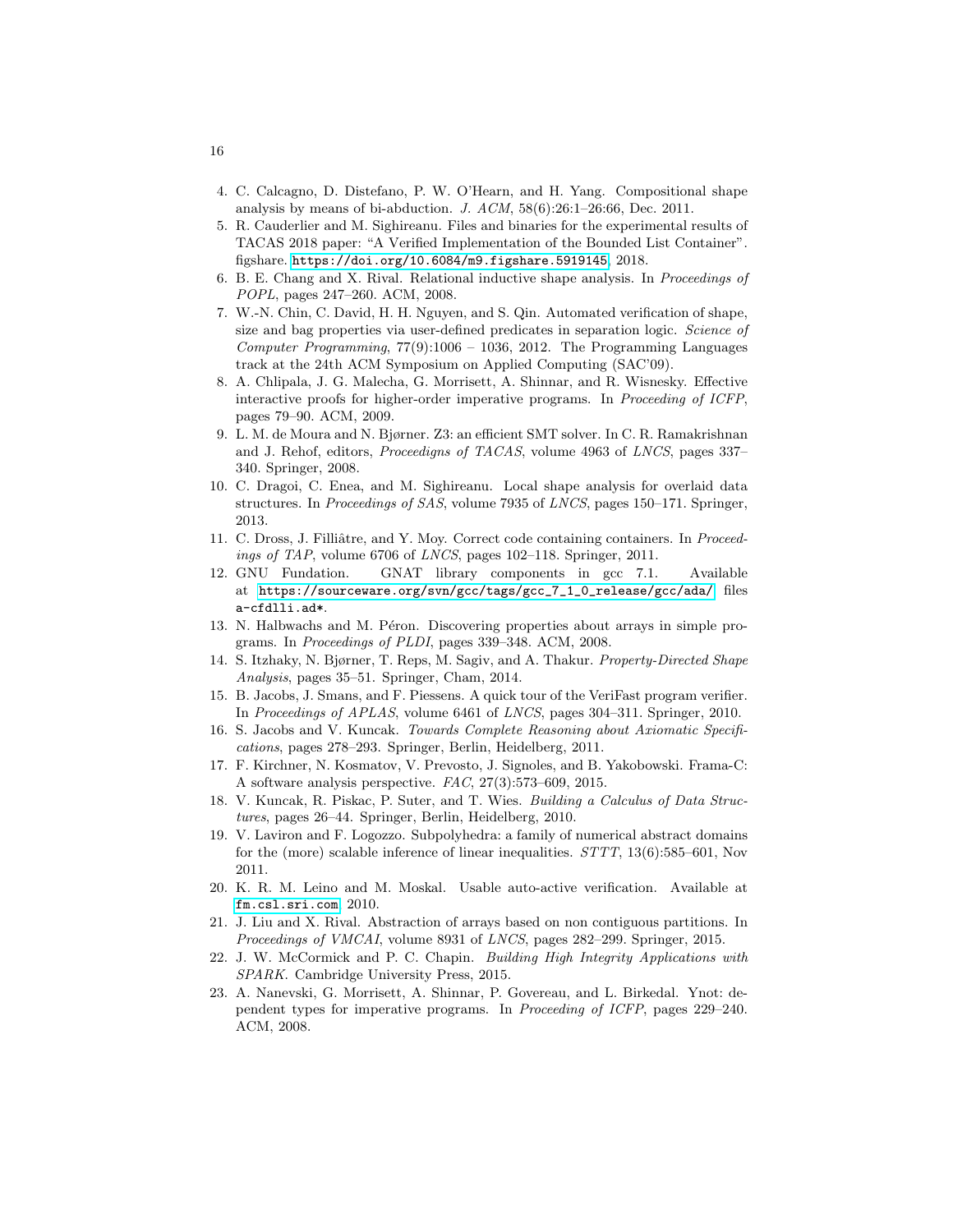- <span id="page-15-11"></span>4. C. Calcagno, D. Distefano, P. W. O'Hearn, and H. Yang. Compositional shape analysis by means of bi-abduction. J.  $ACM$ ,  $58(6):26:1-26:66$ , Dec. 2011.
- <span id="page-15-19"></span>5. R. Cauderlier and M. Sighireanu. Files and binaries for the experimental results of TACAS 2018 paper: "A Verified Implementation of the Bounded List Container". figshare. <https://doi.org/10.6084/m9.figshare.5919145>, 2018.
- <span id="page-15-10"></span>6. B. E. Chang and X. Rival. Relational inductive shape analysis. In Proceedings of POPL, pages 247–260. ACM, 2008.
- <span id="page-15-13"></span>7. W.-N. Chin, C. David, H. H. Nguyen, and S. Qin. Automated verification of shape, size and bag properties via user-defined predicates in separation logic. Science of Computer Programming,  $77(9)$ :1006 – 1036, 2012. The Programming Languages track at the 24th ACM Symposium on Applied Computing (SAC'09).
- <span id="page-15-17"></span>8. A. Chlipala, J. G. Malecha, G. Morrisett, A. Shinnar, and R. Wisnesky. Effective interactive proofs for higher-order imperative programs. In Proceeding of ICFP, pages 79–90. ACM, 2009.
- <span id="page-15-5"></span>9. L. M. de Moura and N. Bjørner. Z3: an efficient SMT solver. In C. R. Ramakrishnan and J. Rehof, editors, Proceedigns of TACAS, volume 4963 of LNCS, pages 337– 340. Springer, 2008.
- <span id="page-15-12"></span>10. C. Dragoi, C. Enea, and M. Sighireanu. Local shape analysis for overlaid data structures. In Proceedings of SAS, volume 7935 of LNCS, pages 150–171. Springer, 2013.
- <span id="page-15-0"></span>11. C. Dross, J. Filliâtre, and Y. Moy. Correct code containing containers. In Proceedings of TAP, volume 6706 of LNCS, pages 102–118. Springer, 2011.
- <span id="page-15-1"></span>12. GNU Fundation. GNAT library components in gcc 7.1. Available at [https://sourceware.org/svn/gcc/tags/gcc\\_7\\_1\\_0\\_release/gcc/ada/](https://sourceware.org/svn/gcc/tags/gcc_7_1_0_release/gcc/ada/) files a-cfdlli.ad\*.
- <span id="page-15-6"></span>13. N. Halbwachs and M. Péron. Discovering properties about arrays in simple programs. In Proceedings of PLDI, pages 339–348. ACM, 2008.
- <span id="page-15-14"></span>14. S. Itzhaky, N. Bjørner, T. Reps, M. Sagiv, and A. Thakur. Property-Directed Shape Analysis, pages 35–51. Springer, Cham, 2014.
- <span id="page-15-4"></span>15. B. Jacobs, J. Smans, and F. Piessens. A quick tour of the VeriFast program verifier. In Proceedings of APLAS, volume 6461 of LNCS, pages 304–311. Springer, 2010.
- <span id="page-15-16"></span>16. S. Jacobs and V. Kuncak. Towards Complete Reasoning about Axiomatic Specifications, pages 278–293. Springer, Berlin, Heidelberg, 2011.
- <span id="page-15-9"></span>17. F. Kirchner, N. Kosmatov, V. Prevosto, J. Signoles, and B. Yakobowski. Frama-C: A software analysis perspective. FAC, 27(3):573–609, 2015.
- <span id="page-15-15"></span>18. V. Kuncak, R. Piskac, P. Suter, and T. Wies. Building a Calculus of Data Structures, pages 26–44. Springer, Berlin, Heidelberg, 2010.
- <span id="page-15-7"></span>19. V. Laviron and F. Logozzo. Subpolyhedra: a family of numerical abstract domains for the (more) scalable inference of linear inequalities. STTT, 13(6):585–601, Nov 2011.
- <span id="page-15-3"></span>20. K. R. M. Leino and M. Moskal. Usable auto-active verification. Available at <fm.csl.sri.com>, 2010.
- <span id="page-15-8"></span>21. J. Liu and X. Rival. Abstraction of arrays based on non contiguous partitions. In Proceedings of VMCAI, volume 8931 of LNCS, pages 282–299. Springer, 2015.
- <span id="page-15-2"></span>22. J. W. McCormick and P. C. Chapin. Building High Integrity Applications with SPARK. Cambridge University Press, 2015.
- <span id="page-15-18"></span>23. A. Nanevski, G. Morrisett, A. Shinnar, P. Govereau, and L. Birkedal. Ynot: dependent types for imperative programs. In Proceeding of ICFP, pages 229–240. ACM, 2008.